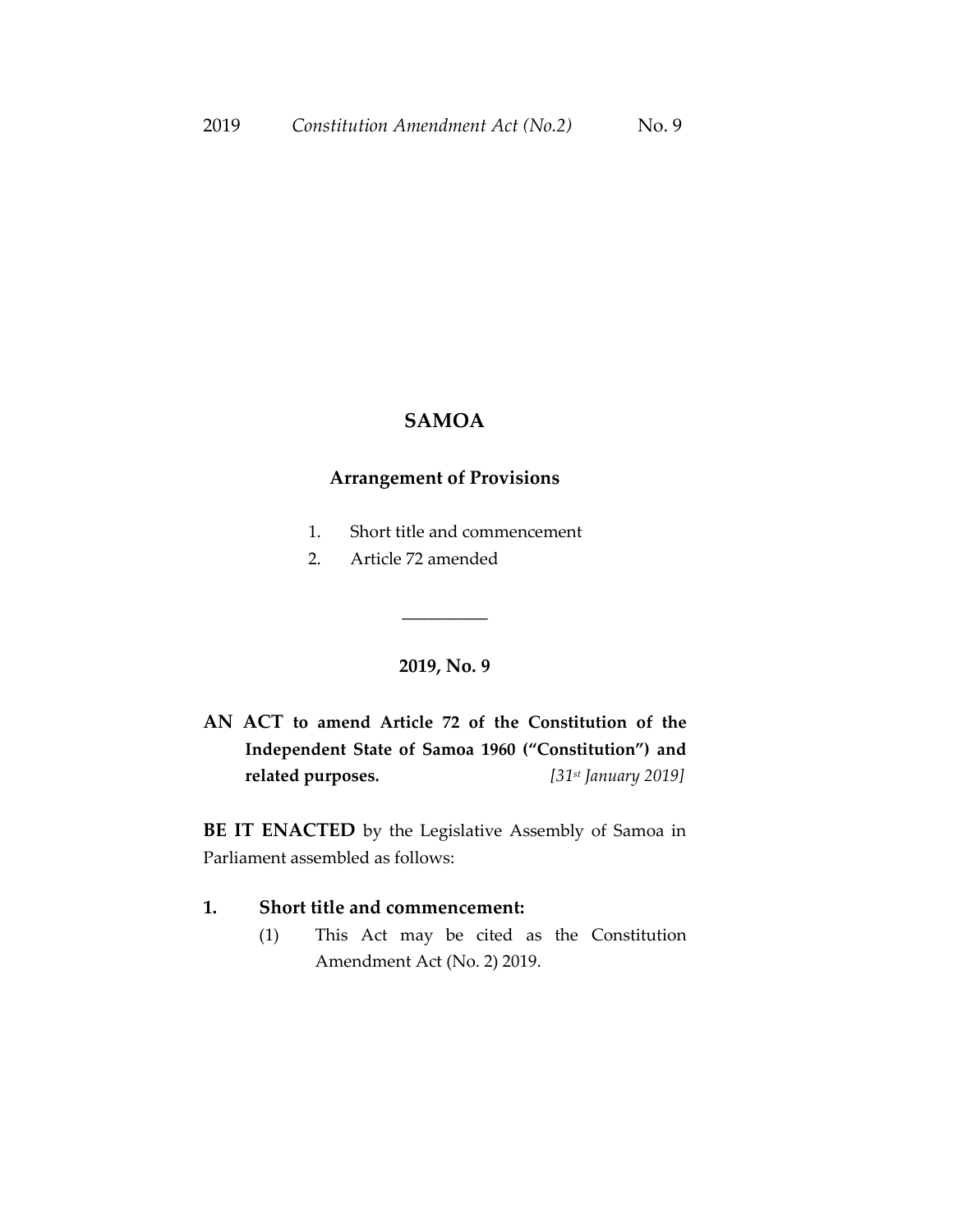# **SAMOA**

## **Arrangement of Provisions**

- 1. Short title and commencement
- 2. Article 72 amended

#### **2019, No. 9**

\_\_\_\_\_\_\_\_\_\_

**AN ACT to amend Article 72 of the Constitution of the Independent State of Samoa 1960 ("Constitution") and related purposes.** *[31st January 2019]*

**BE IT ENACTED** by the Legislative Assembly of Samoa in Parliament assembled as follows:

### **1. Short title and commencement:**

(1) This Act may be cited as the Constitution Amendment Act (No. 2) 2019.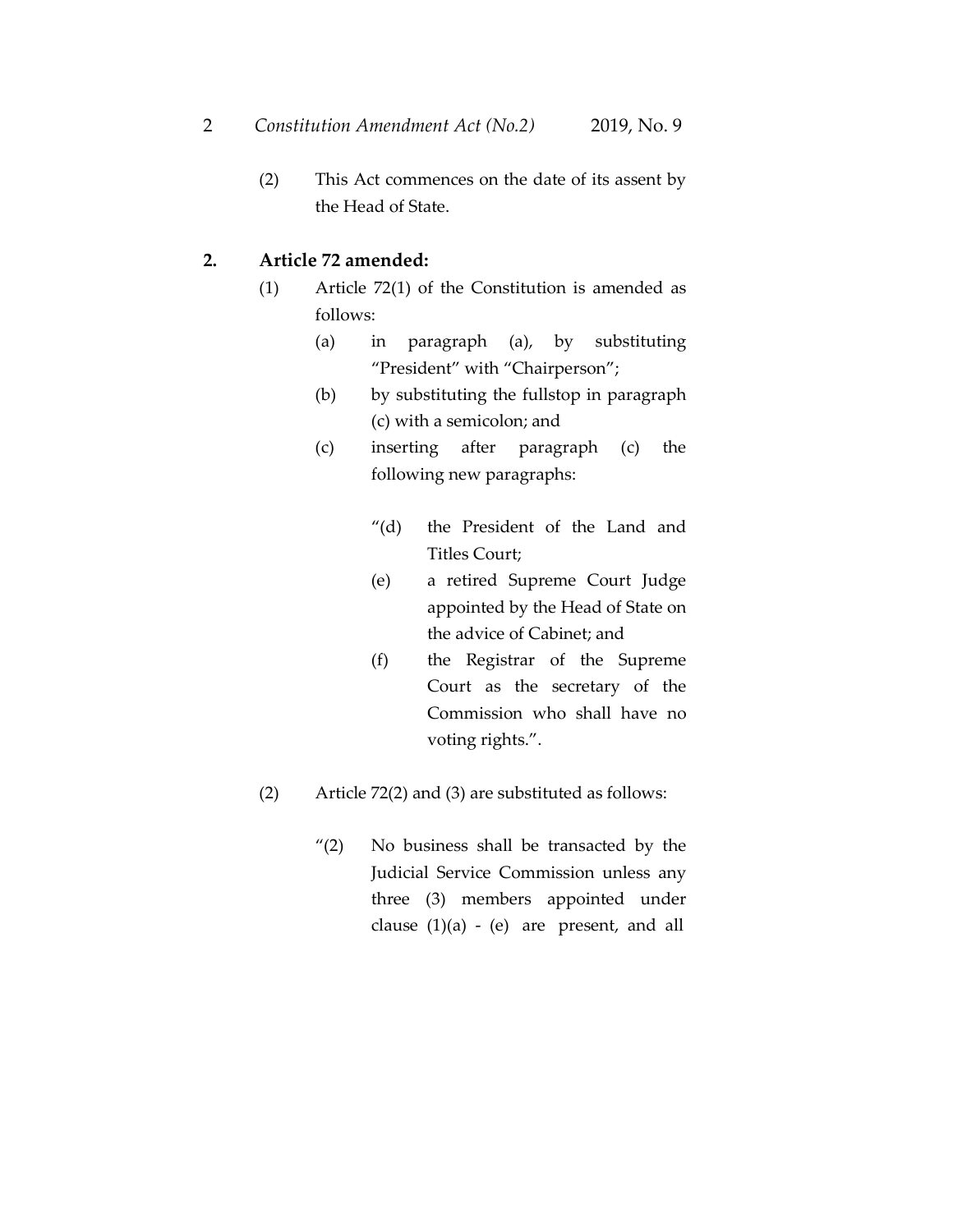(2) This Act commences on the date of its assent by the Head of State.

## **2. Article 72 amended:**

- (1) Article 72(1) of the Constitution is amended as follows:
	- (a) in paragraph (a), by substituting "President" with "Chairperson";
	- (b) by substituting the fullstop in paragraph (c) with a semicolon; and
	- (c) inserting after paragraph (c) the following new paragraphs:
		- "(d) the President of the Land and Titles Court;
		- (e) a retired Supreme Court Judge appointed by the Head of State on the advice of Cabinet; and
		- (f) the Registrar of the Supreme Court as the secretary of the Commission who shall have no voting rights.".
- (2) Article 72(2) and (3) are substituted as follows:
	- "(2) No business shall be transacted by the Judicial Service Commission unless any three (3) members appointed under clause  $(1)(a)$  -  $(e)$  are present, and all